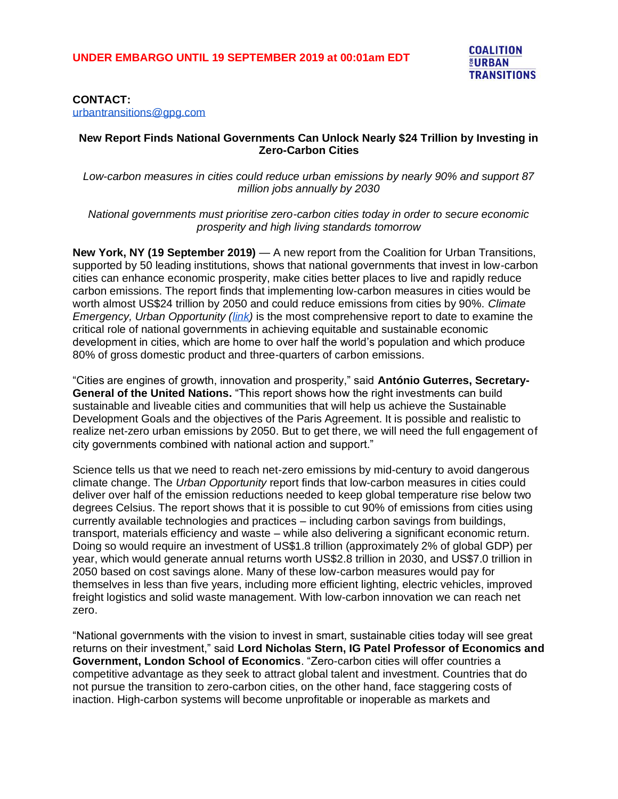#### **CONTACT:**

[urbantransitions@gpg.com](mailto:urbantransitions@gpg.com)

#### **New Report Finds National Governments Can Unlock Nearly \$24 Trillion by Investing in Zero-Carbon Cities**

*Low-carbon measures in cities could reduce urban emissions by nearly 90% and support 87 million jobs annually by 2030*

*National governments must prioritise zero-carbon cities today in order to secure economic prosperity and high living standards tomorrow*

**New York, NY (19 September 2019)** — A new report from the Coalition for Urban Transitions, supported by 50 leading institutions, shows that national governments that invest in low-carbon cities can enhance economic prosperity, make cities better places to live and rapidly reduce carbon emissions. The report finds that implementing low-carbon measures in cities would be worth almost US\$24 trillion by 2050 and could reduce emissions from cities by 90%. *Climate Emergency, Urban Opportunity [\(link\)](https://urbantransitions.global/urban-opportunity/)* is the most comprehensive report to date to examine the critical role of national governments in achieving equitable and sustainable economic development in cities, which are home to over half the world's population and which produce 80% of gross domestic product and three-quarters of carbon emissions.

"Cities are engines of growth, innovation and prosperity," said **António Guterres, Secretary-General of the United Nations.** "This report shows how the right investments can build sustainable and liveable cities and communities that will help us achieve the Sustainable Development Goals and the objectives of the Paris Agreement. It is possible and realistic to realize net-zero urban emissions by 2050. But to get there, we will need the full engagement of city governments combined with national action and support."

Science tells us that we need to reach net-zero emissions by mid-century to avoid dangerous climate change. The *Urban Opportunity* report finds that low-carbon measures in cities could deliver over half of the emission reductions needed to keep global temperature rise below two degrees Celsius. The report shows that it is possible to cut 90% of emissions from cities using currently available technologies and practices – including carbon savings from buildings, transport, materials efficiency and waste – while also delivering a significant economic return. Doing so would require an investment of US\$1.8 trillion (approximately 2% of global GDP) per year, which would generate annual returns worth US\$2.8 trillion in 2030, and US\$7.0 trillion in 2050 based on cost savings alone. Many of these low-carbon measures would pay for themselves in less than five years, including more efficient lighting, electric vehicles, improved freight logistics and solid waste management. With low-carbon innovation we can reach net zero.

"National governments with the vision to invest in smart, sustainable cities today will see great returns on their investment," said **Lord Nicholas Stern, IG Patel Professor of Economics and Government, London School of Economics**. "Zero-carbon cities will offer countries a competitive advantage as they seek to attract global talent and investment. Countries that do not pursue the transition to zero-carbon cities, on the other hand, face staggering costs of inaction. High-carbon systems will become unprofitable or inoperable as markets and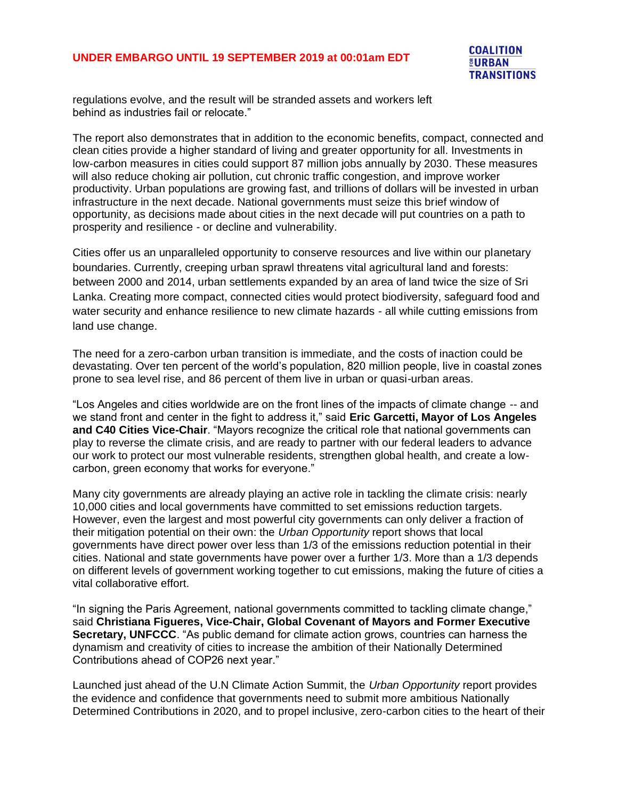## **UNDER EMBARGO UNTIL 19 SEPTEMBER 2019 at 00:01am EDT**

regulations evolve, and the result will be stranded assets and workers left behind as industries fail or relocate."

The report also demonstrates that in addition to the economic benefits, compact, connected and clean cities provide a higher standard of living and greater opportunity for all. Investments in low-carbon measures in cities could support 87 million jobs annually by 2030. These measures will also reduce choking air pollution, cut chronic traffic congestion, and improve worker productivity. Urban populations are growing fast, and trillions of dollars will be invested in urban infrastructure in the next decade. National governments must seize this brief window of opportunity, as decisions made about cities in the next decade will put countries on a path to prosperity and resilience - or decline and vulnerability.

Cities offer us an unparalleled opportunity to conserve resources and live within our planetary boundaries. Currently, creeping urban sprawl threatens vital agricultural land and forests: between 2000 and 2014, urban settlements expanded by an area of land twice the size of Sri Lanka. Creating more compact, connected cities would protect biodiversity, safeguard food and water security and enhance resilience to new climate hazards - all while cutting emissions from land use change.

The need for a zero-carbon urban transition is immediate, and the costs of inaction could be devastating. Over ten percent of the world's population, 820 million people, live in coastal zones prone to sea level rise, and 86 percent of them live in urban or quasi-urban areas.

"Los Angeles and cities worldwide are on the front lines of the impacts of climate change -- and we stand front and center in the fight to address it," said **Eric Garcetti, Mayor of Los Angeles and C40 Cities Vice-Chair**. "Mayors recognize the critical role that national governments can play to reverse the climate crisis, and are ready to partner with our federal leaders to advance our work to protect our most vulnerable residents, strengthen global health, and create a lowcarbon, green economy that works for everyone."

Many city governments are already playing an active role in tackling the climate crisis: nearly 10,000 cities and local governments have committed to set emissions reduction targets. However, even the largest and most powerful city governments can only deliver a fraction of their mitigation potential on their own: the *Urban Opportunity* report shows that local governments have direct power over less than 1/3 of the emissions reduction potential in their cities. National and state governments have power over a further 1/3. More than a 1/3 depends on different levels of government working together to cut emissions, making the future of cities a vital collaborative effort.

"In signing the Paris Agreement, national governments committed to tackling climate change," said **Christiana Figueres, Vice-Chair, Global Covenant of Mayors and Former Executive Secretary, UNFCCC**. "As public demand for climate action grows, countries can harness the dynamism and creativity of cities to increase the ambition of their Nationally Determined Contributions ahead of COP26 next year."

Launched just ahead of the U.N Climate Action Summit, the *Urban Opportunity* report provides the evidence and confidence that governments need to submit more ambitious Nationally Determined Contributions in 2020, and to propel inclusive, zero-carbon cities to the heart of their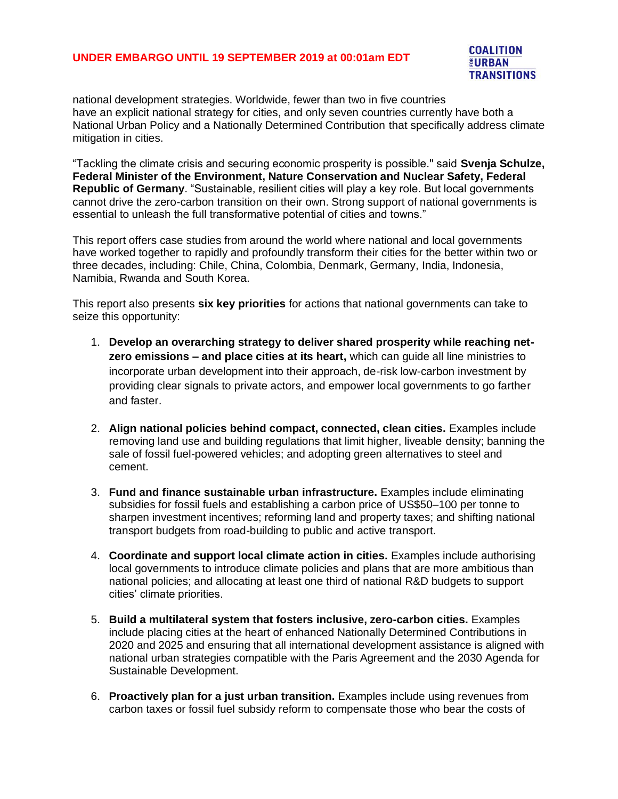### **UNDER EMBARGO UNTIL 19 SEPTEMBER 2019 at 00:01am EDT**

**COALITION EURBAN TRANSITIONS** 

national development strategies. Worldwide, fewer than two in five countries have an explicit national strategy for cities, and only seven countries currently have both a National Urban Policy and a Nationally Determined Contribution that specifically address climate mitigation in cities.

"Tackling the climate crisis and securing economic prosperity is possible.'' said **Svenja Schulze, Federal Minister of the Environment, Nature Conservation and Nuclear Safety, Federal Republic of Germany**. "Sustainable, resilient cities will play a key role. But local governments cannot drive the zero-carbon transition on their own. Strong support of national governments is essential to unleash the full transformative potential of cities and towns."

This report offers case studies from around the world where national and local governments have worked together to rapidly and profoundly transform their cities for the better within two or three decades, including: Chile, China, Colombia, Denmark, Germany, India, Indonesia, Namibia, Rwanda and South Korea.

This report also presents **six key priorities** for actions that national governments can take to seize this opportunity:

- 1. **Develop an overarching strategy to deliver shared prosperity while reaching netzero emissions – and place cities at its heart,** which can guide all line ministries to incorporate urban development into their approach, de-risk low-carbon investment by providing clear signals to private actors, and empower local governments to go farther and faster.
- 2. **Align national policies behind compact, connected, clean cities.** Examples include removing land use and building regulations that limit higher, liveable density; banning the sale of fossil fuel-powered vehicles; and adopting green alternatives to steel and cement.
- 3. **Fund and finance sustainable urban infrastructure.** Examples include eliminating subsidies for fossil fuels and establishing a carbon price of US\$50–100 per tonne to sharpen investment incentives; reforming land and property taxes; and shifting national transport budgets from road-building to public and active transport.
- 4. **Coordinate and support local climate action in cities.** Examples include authorising local governments to introduce climate policies and plans that are more ambitious than national policies; and allocating at least one third of national R&D budgets to support cities' climate priorities.
- 5. **Build a multilateral system that fosters inclusive, zero-carbon cities.** Examples include placing cities at the heart of enhanced Nationally Determined Contributions in 2020 and 2025 and ensuring that all international development assistance is aligned with national urban strategies compatible with the Paris Agreement and the 2030 Agenda for Sustainable Development.
- 6. **Proactively plan for a just urban transition.** Examples include using revenues from carbon taxes or fossil fuel subsidy reform to compensate those who bear the costs of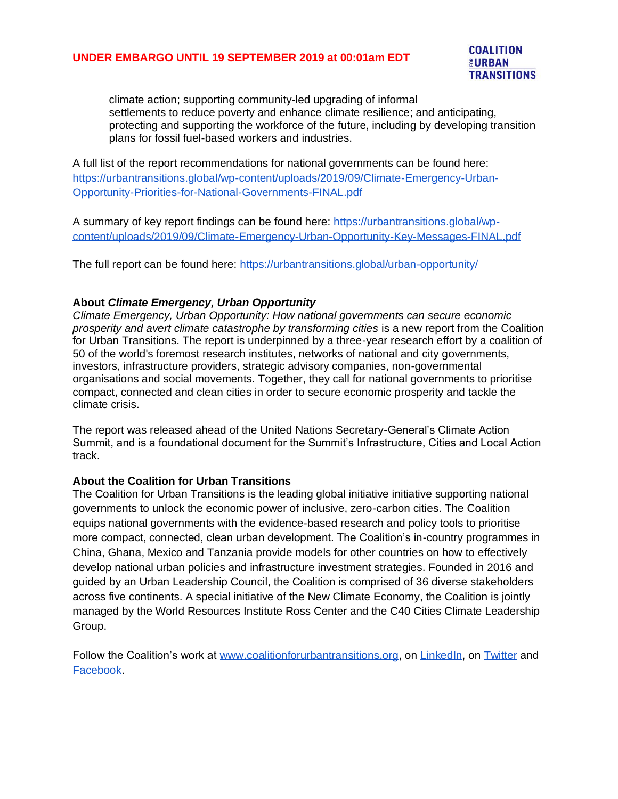# **UNDER EMBARGO UNTIL 19 SEPTEMBER 2019 at 00:01am EDT**



climate action; supporting community-led upgrading of informal settlements to reduce poverty and enhance climate resilience; and anticipating, protecting and supporting the workforce of the future, including by developing transition plans for fossil fuel-based workers and industries.

A full list of the report recommendations for national governments can be found here: [https://urbantransitions.global/wp-content/uploads/2019/09/Climate-Emergency-Urban-](https://urbantransitions.global/wp-content/uploads/2019/09/Climate-Emergency-Urban-Opportunity-Priorities-for-National-Governments-FINAL.pdf)[Opportunity-Priorities-for-National-Governments-FINAL.pdf](https://urbantransitions.global/wp-content/uploads/2019/09/Climate-Emergency-Urban-Opportunity-Priorities-for-National-Governments-FINAL.pdf)

A summary of key report findings can be found here: [https://urbantransitions.global/wp](https://urbantransitions.global/wp-content/uploads/2019/09/Climate-Emergency-Urban-Opportunity-Key-Messages-FINAL.pdf)[content/uploads/2019/09/Climate-Emergency-Urban-Opportunity-Key-Messages-FINAL.pdf](https://urbantransitions.global/wp-content/uploads/2019/09/Climate-Emergency-Urban-Opportunity-Key-Messages-FINAL.pdf)

The full report can be found here:<https://urbantransitions.global/urban-opportunity/>

# **About** *Climate Emergency, Urban Opportunity*

*Climate Emergency, Urban Opportunity: How national governments can secure economic prosperity and avert climate catastrophe by transforming cities* is a new report from the Coalition for Urban Transitions. The report is underpinned by a three-year research effort by a coalition of 50 of the world's foremost research institutes, networks of national and city governments, investors, infrastructure providers, strategic advisory companies, non-governmental organisations and social movements. Together, they call for national governments to prioritise compact, connected and clean cities in order to secure economic prosperity and tackle the climate crisis.

The report was released ahead of the United Nations Secretary-General's Climate Action Summit, and is a foundational document for the Summit's Infrastructure, Cities and Local Action track.

# **About the Coalition for Urban Transitions**

The Coalition for Urban Transitions is the leading global initiative initiative supporting national governments to unlock the economic power of inclusive, zero-carbon cities. The Coalition equips national governments with the evidence-based research and policy tools to prioritise more compact, connected, clean urban development. The Coalition's in-country programmes in China, Ghana, Mexico and Tanzania provide models for other countries on how to effectively develop national urban policies and infrastructure investment strategies. Founded in 2016 and guided by an Urban Leadership Council, the Coalition is comprised of 36 diverse stakeholders across five continents. A special initiative of the New Climate Economy, the Coalition is jointly managed by the World Resources Institute Ross Center and the C40 Cities Climate Leadership Group.

Follow the Coalition's work at [www.coalitionforurbantransitions.org,](http://www.coalitionforurbantransitions.org/) on [LinkedIn,](https://www.linkedin.com/company/coalitionforurbantransitions/) on [Twitter](https://twitter.com/ncecities) and [Facebook.](https://www.facebook.com/coalitionforurbantransitions)